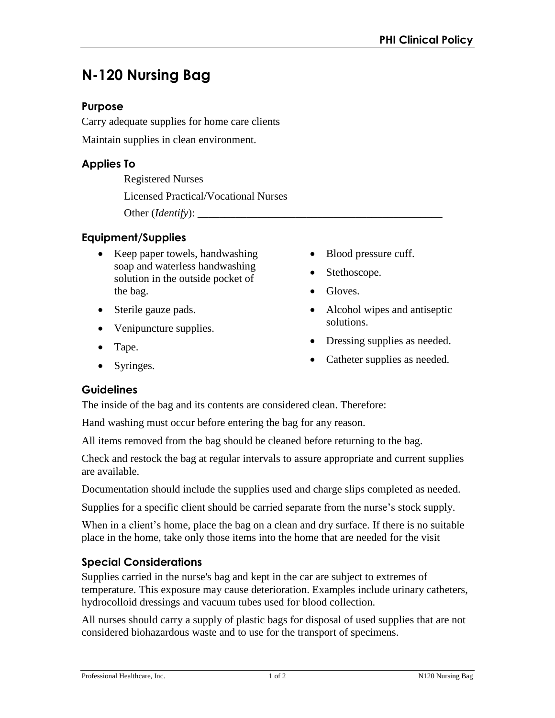# **N-120 Nursing Bag**

### **Purpose**

Carry adequate supplies for home care clients Maintain supplies in clean environment.

# **Applies To**

Registered Nurses Licensed Practical/Vocational Nurses Other (*Identify*):

## **Equipment/Supplies**

- Keep paper towels, handwashing soap and waterless handwashing solution in the outside pocket of the bag.
- Sterile gauze pads.
- Venipuncture supplies.
- Tape.
- Syringes.
- Blood pressure cuff.
- Stethoscope.
- Gloves.
- Alcohol wipes and antiseptic solutions.
- Dressing supplies as needed.
- Catheter supplies as needed.

## **Guidelines**

The inside of the bag and its contents are considered clean. Therefore:

Hand washing must occur before entering the bag for any reason.

All items removed from the bag should be cleaned before returning to the bag.

Check and restock the bag at regular intervals to assure appropriate and current supplies are available.

Documentation should include the supplies used and charge slips completed as needed.

Supplies for a specific client should be carried separate from the nurse's stock supply.

When in a client's home, place the bag on a clean and dry surface. If there is no suitable place in the home, take only those items into the home that are needed for the visit

# **Special Considerations**

Supplies carried in the nurse's bag and kept in the car are subject to extremes of temperature. This exposure may cause deterioration. Examples include urinary catheters, hydrocolloid dressings and vacuum tubes used for blood collection.

All nurses should carry a supply of plastic bags for disposal of used supplies that are not considered biohazardous waste and to use for the transport of specimens.